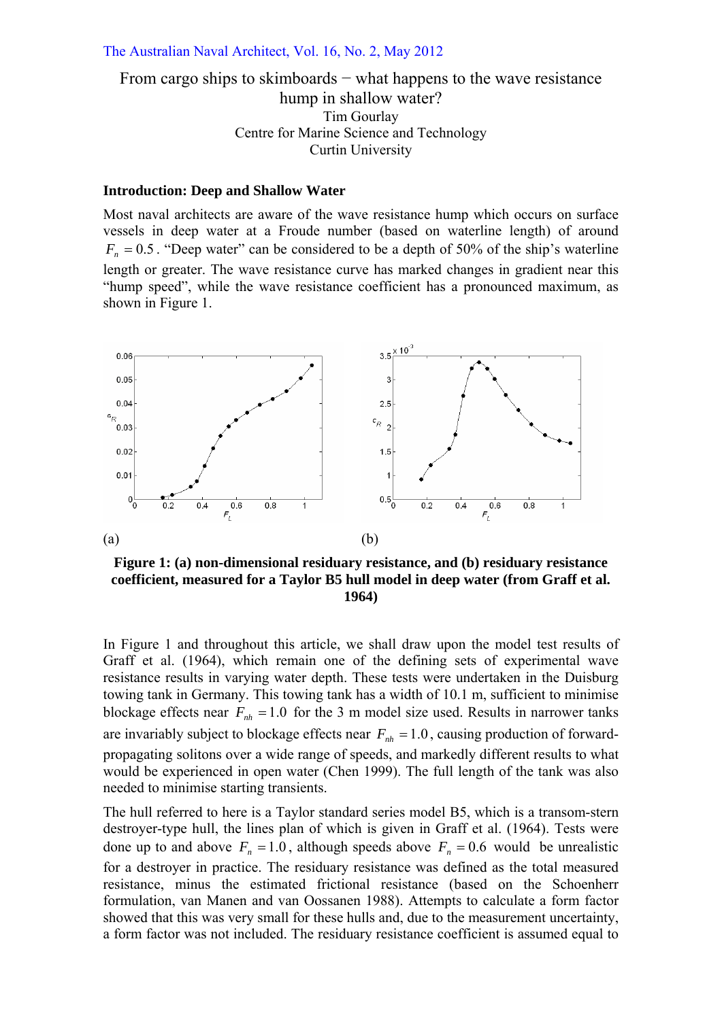#### The Australian Naval Architect, Vol. 16, No. 2, May 2012

# From cargo ships to skimboards − what happens to the wave resistance hump in shallow water? Tim Gourlay Centre for Marine Science and Technology Curtin University

#### **Introduction: Deep and Shallow Water**

Most naval architects are aware of the wave resistance hump which occurs on surface vessels in deep water at a Froude number (based on waterline length) of around  $F_n = 0.5$ . "Deep water" can be considered to be a depth of 50% of the ship's waterline length or greater. The wave resistance curve has marked changes in gradient near this "hump speed", while the wave resistance coefficient has a pronounced maximum, as shown in Figure 1.



**Figure 1: (a) non-dimensional residuary resistance, and (b) residuary resistance coefficient, measured for a Taylor B5 hull model in deep water (from Graff et al. 1964)** 

In Figure 1 and throughout this article, we shall draw upon the model test results of Graff et al. (1964), which remain one of the defining sets of experimental wave resistance results in varying water depth. These tests were undertaken in the Duisburg towing tank in Germany. This towing tank has a width of 10.1 m, sufficient to minimise blockage effects near  $F<sub>nh</sub> = 1.0$  for the 3 m model size used. Results in narrower tanks are invariably subject to blockage effects near  $F<sub>nh</sub> = 1.0$ , causing production of forwardpropagating solitons over a wide range of speeds, and markedly different results to what would be experienced in open water (Chen 1999). The full length of the tank was also needed to minimise starting transients.

The hull referred to here is a Taylor standard series model B5, which is a transom-stern destroyer-type hull, the lines plan of which is given in Graff et al. (1964). Tests were done up to and above  $F_n = 1.0$ , although speeds above  $F_n = 0.6$  would be unrealistic for a destroyer in practice. The residuary resistance was defined as the total measured resistance, minus the estimated frictional resistance (based on the Schoenherr formulation, van Manen and van Oossanen 1988). Attempts to calculate a form factor showed that this was very small for these hulls and, due to the measurement uncertainty, a form factor was not included. The residuary resistance coefficient is assumed equal to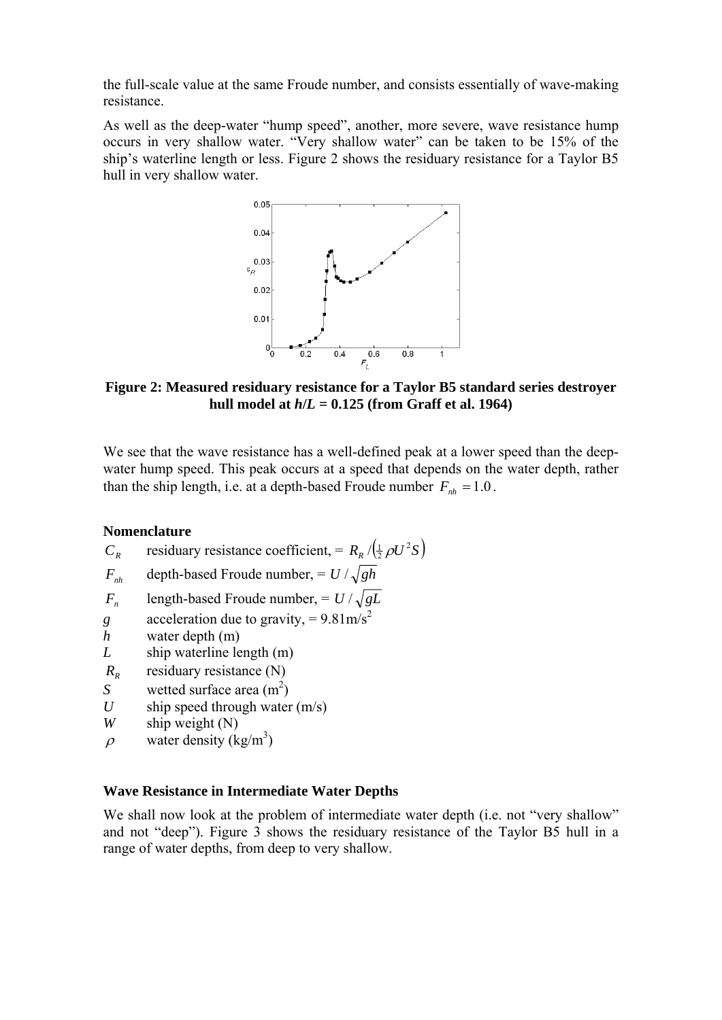the full-scale value at the same Froude number, and consists essentially of wave-making resistance.

As well as the deep-water "hump speed", another, more severe, wave resistance hump occurs in very shallow water. "Very shallow water" can be taken to be 15% of the ship's waterline length or less. Figure 2 shows the residuary resistance for a Taylor B5 hull in very shallow water.



**Figure 2: Measured residuary resistance for a Taylor B5 standard series destroyer**  hull model at  $h/L = 0.125$  (from Graff et al. 1964)

We see that the wave resistance has a well-defined peak at a lower speed than the deepwater hump speed. This peak occurs at a speed that depends on the water depth, rather than the ship length, i.e. at a depth-based Froude number  $F_{nh} = 1.0$ .

### **Nomenclature**

- *C<sub>R</sub>* residuary resistance coefficient, =  $R_R / (\frac{1}{2} \rho U^2 S)$  $\sqrt{\frac{1}{2}\rho}$
- $F_{nh}$  depth-based Froude number,  $= U / \sqrt{gh}$
- $F_n$  length-based Froude number,  $= U / \sqrt{gL}$
- *g* acceleration due to gravity, =  $9.81 \text{m/s}^2$
- *h* water depth (m)
- *L* ship waterline length (m)
- *R<sub>R</sub>* residuary resistance (N)
- *S* wetted surface area  $(m^2)$
- *U* ship speed through water  $(m/s)$
- *W* ship weight (N)
- $\rho$  water density (kg/m<sup>3</sup>)

## **Wave Resistance in Intermediate Water Depths**

We shall now look at the problem of intermediate water depth (i.e. not "very shallow" and not "deep"). Figure 3 shows the residuary resistance of the Taylor B5 hull in a range of water depths, from deep to very shallow.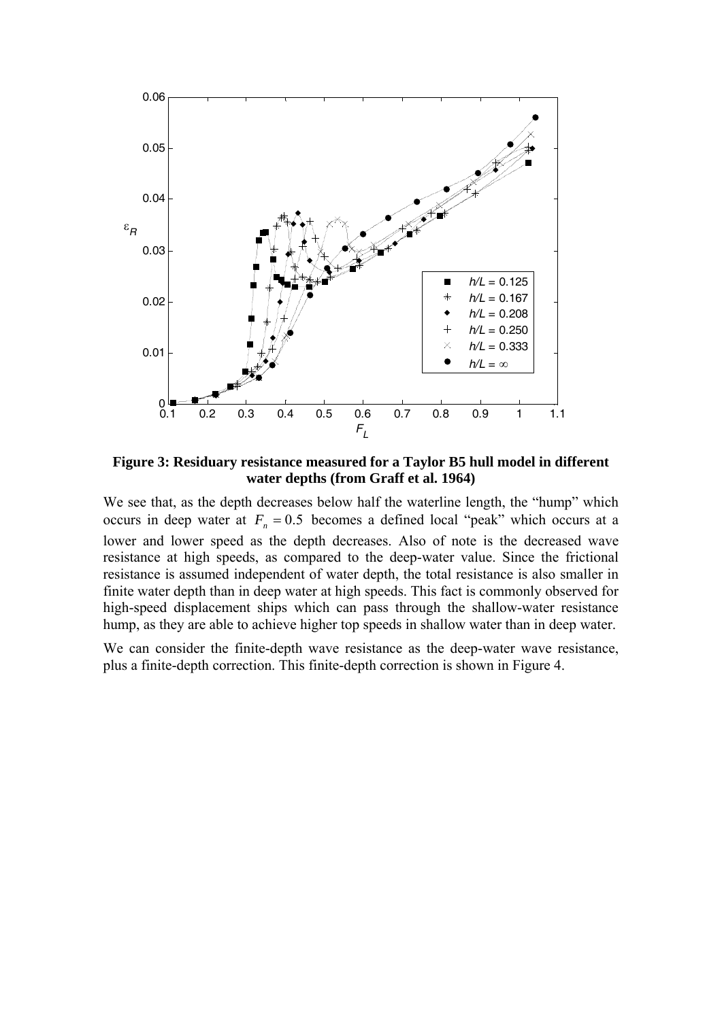

**Figure 3: Residuary resistance measured for a Taylor B5 hull model in different water depths (from Graff et al. 1964)** 

We see that, as the depth decreases below half the waterline length, the "hump" which occurs in deep water at  $F_n = 0.5$  becomes a defined local "peak" which occurs at a lower and lower speed as the depth decreases. Also of note is the decreased wave resistance at high speeds, as compared to the deep-water value. Since the frictional resistance is assumed independent of water depth, the total resistance is also smaller in finite water depth than in deep water at high speeds. This fact is commonly observed for high-speed displacement ships which can pass through the shallow-water resistance hump, as they are able to achieve higher top speeds in shallow water than in deep water.

We can consider the finite-depth wave resistance as the deep-water wave resistance, plus a finite-depth correction. This finite-depth correction is shown in Figure 4.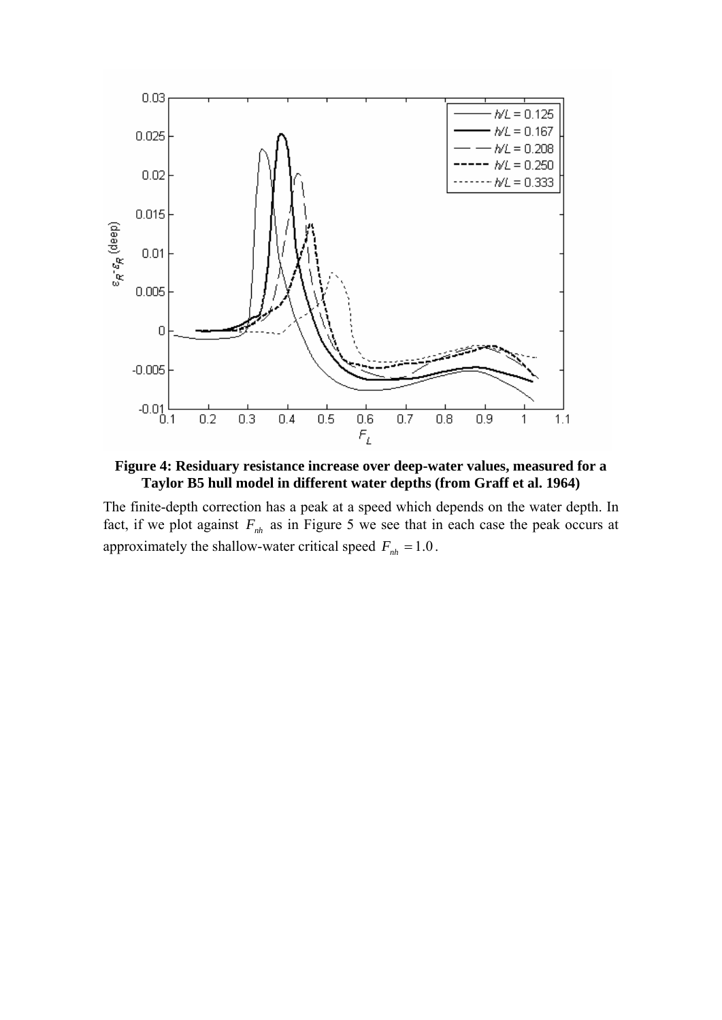

**Figure 4: Residuary resistance increase over deep-water values, measured for a Taylor B5 hull model in different water depths (from Graff et al. 1964)** 

The finite-depth correction has a peak at a speed which depends on the water depth. In fact, if we plot against  $F_{nh}$  as in Figure 5 we see that in each case the peak occurs at approximately the shallow-water critical speed  $F_{nh} = 1.0$ .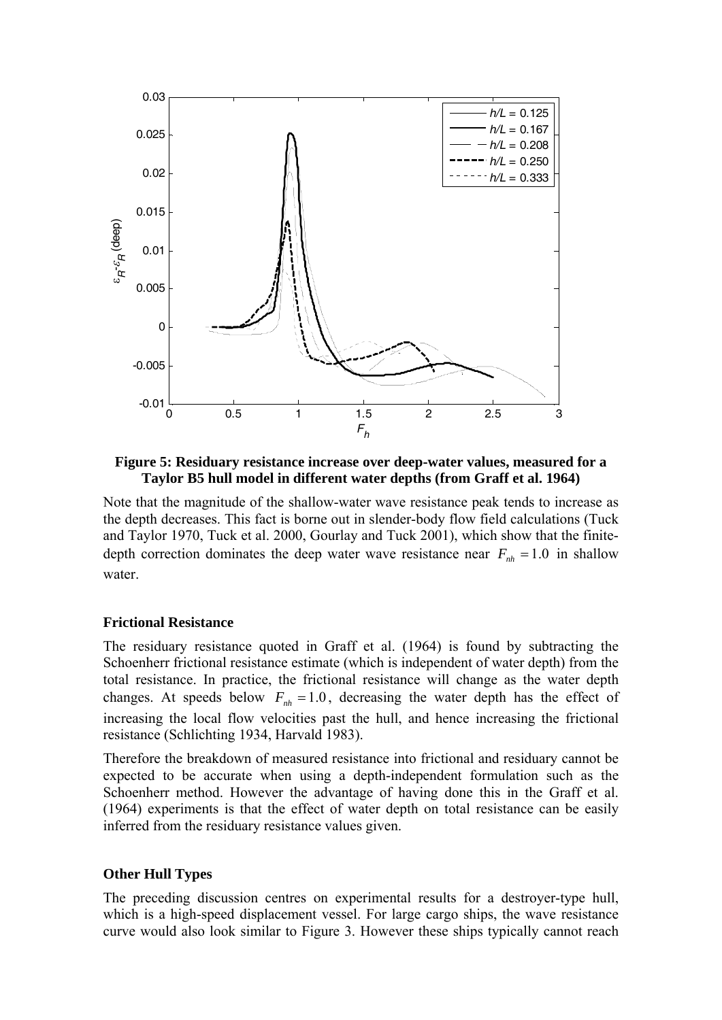

**Figure 5: Residuary resistance increase over deep-water values, measured for a Taylor B5 hull model in different water depths (from Graff et al. 1964)** 

Note that the magnitude of the shallow-water wave resistance peak tends to increase as the depth decreases. This fact is borne out in slender-body flow field calculations (Tuck and Taylor 1970, Tuck et al. 2000, Gourlay and Tuck 2001), which show that the finitedepth correction dominates the deep water wave resistance near  $F_{nh} = 1.0$  in shallow water.

### **Frictional Resistance**

The residuary resistance quoted in Graff et al. (1964) is found by subtracting the Schoenherr frictional resistance estimate (which is independent of water depth) from the total resistance. In practice, the frictional resistance will change as the water depth changes. At speeds below  $F<sub>nh</sub> = 1.0$ , decreasing the water depth has the effect of increasing the local flow velocities past the hull, and hence increasing the frictional resistance (Schlichting 1934, Harvald 1983).

Therefore the breakdown of measured resistance into frictional and residuary cannot be expected to be accurate when using a depth-independent formulation such as the Schoenherr method. However the advantage of having done this in the Graff et al. (1964) experiments is that the effect of water depth on total resistance can be easily inferred from the residuary resistance values given.

### **Other Hull Types**

The preceding discussion centres on experimental results for a destroyer-type hull, which is a high-speed displacement vessel. For large cargo ships, the wave resistance curve would also look similar to Figure 3. However these ships typically cannot reach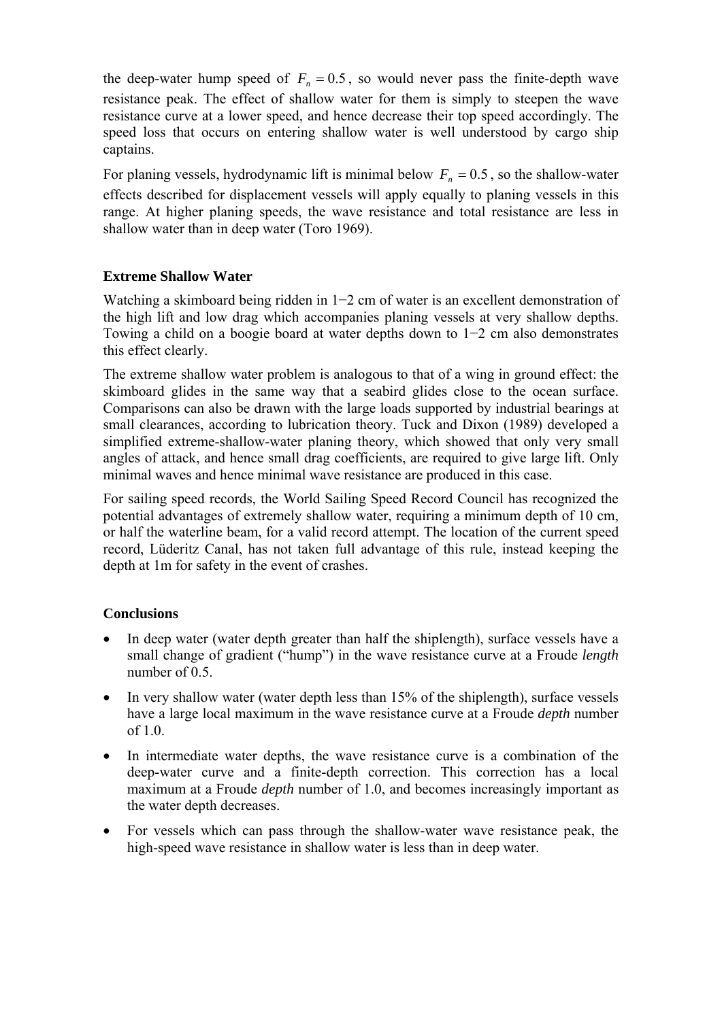the deep-water hump speed of  $F_n = 0.5$ , so would never pass the finite-depth wave resistance peak. The effect of shallow water for them is simply to steepen the wave resistance curve at a lower speed, and hence decrease their top speed accordingly. The speed loss that occurs on entering shallow water is well understood by cargo ship captains.

For planing vessels, hydrodynamic lift is minimal below  $F_n = 0.5$ , so the shallow-water effects described for displacement vessels will apply equally to planing vessels in this range. At higher planing speeds, the wave resistance and total resistance are less in shallow water than in deep water (Toro 1969).

# **Extreme Shallow Water**

Watching a skimboard being ridden in 1−2 cm of water is an excellent demonstration of the high lift and low drag which accompanies planing vessels at very shallow depths. Towing a child on a boogie board at water depths down to 1−2 cm also demonstrates this effect clearly.

The extreme shallow water problem is analogous to that of a wing in ground effect: the skimboard glides in the same way that a seabird glides close to the ocean surface. Comparisons can also be drawn with the large loads supported by industrial bearings at small clearances, according to lubrication theory. Tuck and Dixon (1989) developed a simplified extreme-shallow-water planing theory, which showed that only very small angles of attack, and hence small drag coefficients, are required to give large lift. Only minimal waves and hence minimal wave resistance are produced in this case.

For sailing speed records, the World Sailing Speed Record Council has recognized the potential advantages of extremely shallow water, requiring a minimum depth of 10 cm, or half the waterline beam, for a valid record attempt. The location of the current speed record, Lüderitz Canal, has not taken full advantage of this rule, instead keeping the depth at 1m for safety in the event of crashes.

# **Conclusions**

- In deep water (water depth greater than half the shiplength), surface vessels have a small change of gradient ("hump") in the wave resistance curve at a Froude *length* number of 0.5
- In very shallow water (water depth less than 15% of the shiplength), surface vessels have a large local maximum in the wave resistance curve at a Froude *depth* number of 1.0.
- In intermediate water depths, the wave resistance curve is a combination of the deep-water curve and a finite-depth correction. This correction has a local maximum at a Froude *depth* number of 1.0, and becomes increasingly important as the water depth decreases.
- For vessels which can pass through the shallow-water wave resistance peak, the high-speed wave resistance in shallow water is less than in deep water.